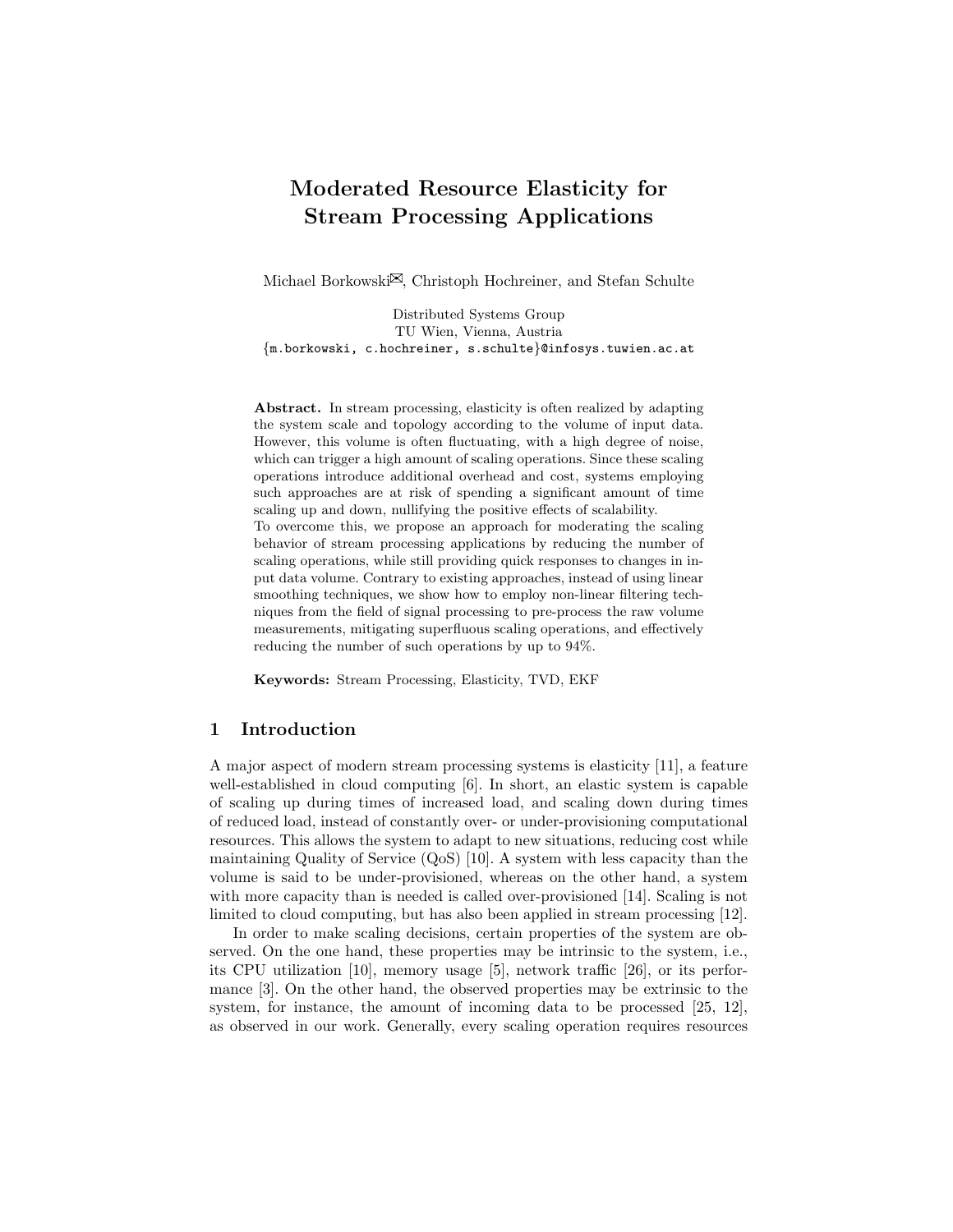# Moderated Resource Elasticity for Stream Processing Applications

Michael Borkowski<sup> $\mathbb{Z}$ </sup>, Christoph Hochreiner, and Stefan Schulte

Distributed Systems Group TU Wien, Vienna, Austria {m.borkowski, c.hochreiner, s.schulte}@infosys.tuwien.ac.at

Abstract. In stream processing, elasticity is often realized by adapting the system scale and topology according to the volume of input data. However, this volume is often fluctuating, with a high degree of noise, which can trigger a high amount of scaling operations. Since these scaling operations introduce additional overhead and cost, systems employing such approaches are at risk of spending a significant amount of time scaling up and down, nullifying the positive effects of scalability. To overcome this, we propose an approach for moderating the scaling behavior of stream processing applications by reducing the number of scaling operations, while still providing quick responses to changes in input data volume. Contrary to existing approaches, instead of using linear smoothing techniques, we show how to employ non-linear filtering techniques from the field of signal processing to pre-process the raw volume measurements, mitigating superfluous scaling operations, and effectively reducing the number of such operations by up to 94%.

Keywords: Stream Processing, Elasticity, TVD, EKF

### 1 Introduction

A major aspect of modern stream processing systems is elasticity [11], a feature well-established in cloud computing [6]. In short, an elastic system is capable of scaling up during times of increased load, and scaling down during times of reduced load, instead of constantly over- or under-provisioning computational resources. This allows the system to adapt to new situations, reducing cost while maintaining Quality of Service (QoS) [10]. A system with less capacity than the volume is said to be under-provisioned, whereas on the other hand, a system with more capacity than is needed is called over-provisioned [14]. Scaling is not limited to cloud computing, but has also been applied in stream processing [12].

In order to make scaling decisions, certain properties of the system are observed. On the one hand, these properties may be intrinsic to the system, i.e., its CPU utilization [10], memory usage [5], network traffic [26], or its performance [3]. On the other hand, the observed properties may be extrinsic to the system, for instance, the amount of incoming data to be processed [25, 12], as observed in our work. Generally, every scaling operation requires resources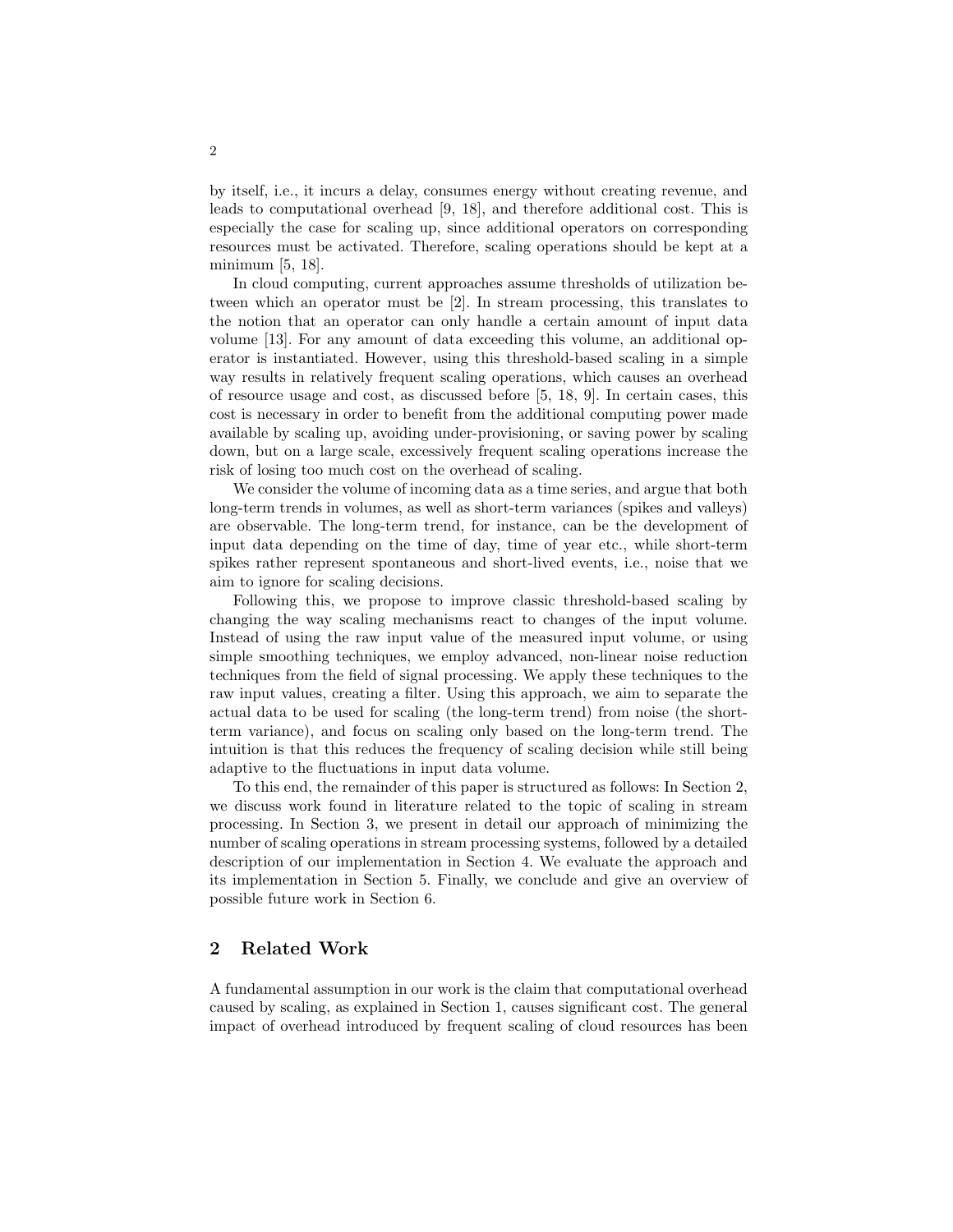by itself, i.e., it incurs a delay, consumes energy without creating revenue, and leads to computational overhead [9, 18], and therefore additional cost. This is especially the case for scaling up, since additional operators on corresponding resources must be activated. Therefore, scaling operations should be kept at a minimum [5, 18].

In cloud computing, current approaches assume thresholds of utilization between which an operator must be [2]. In stream processing, this translates to the notion that an operator can only handle a certain amount of input data volume [13]. For any amount of data exceeding this volume, an additional operator is instantiated. However, using this threshold-based scaling in a simple way results in relatively frequent scaling operations, which causes an overhead of resource usage and cost, as discussed before [5, 18, 9]. In certain cases, this cost is necessary in order to benefit from the additional computing power made available by scaling up, avoiding under-provisioning, or saving power by scaling down, but on a large scale, excessively frequent scaling operations increase the risk of losing too much cost on the overhead of scaling.

We consider the volume of incoming data as a time series, and argue that both long-term trends in volumes, as well as short-term variances (spikes and valleys) are observable. The long-term trend, for instance, can be the development of input data depending on the time of day, time of year etc., while short-term spikes rather represent spontaneous and short-lived events, i.e., noise that we aim to ignore for scaling decisions.

Following this, we propose to improve classic threshold-based scaling by changing the way scaling mechanisms react to changes of the input volume. Instead of using the raw input value of the measured input volume, or using simple smoothing techniques, we employ advanced, non-linear noise reduction techniques from the field of signal processing. We apply these techniques to the raw input values, creating a filter. Using this approach, we aim to separate the actual data to be used for scaling (the long-term trend) from noise (the shortterm variance), and focus on scaling only based on the long-term trend. The intuition is that this reduces the frequency of scaling decision while still being adaptive to the fluctuations in input data volume.

To this end, the remainder of this paper is structured as follows: In Section 2, we discuss work found in literature related to the topic of scaling in stream processing. In Section 3, we present in detail our approach of minimizing the number of scaling operations in stream processing systems, followed by a detailed description of our implementation in Section 4. We evaluate the approach and its implementation in Section 5. Finally, we conclude and give an overview of possible future work in Section 6.

# 2 Related Work

A fundamental assumption in our work is the claim that computational overhead caused by scaling, as explained in Section 1, causes significant cost. The general impact of overhead introduced by frequent scaling of cloud resources has been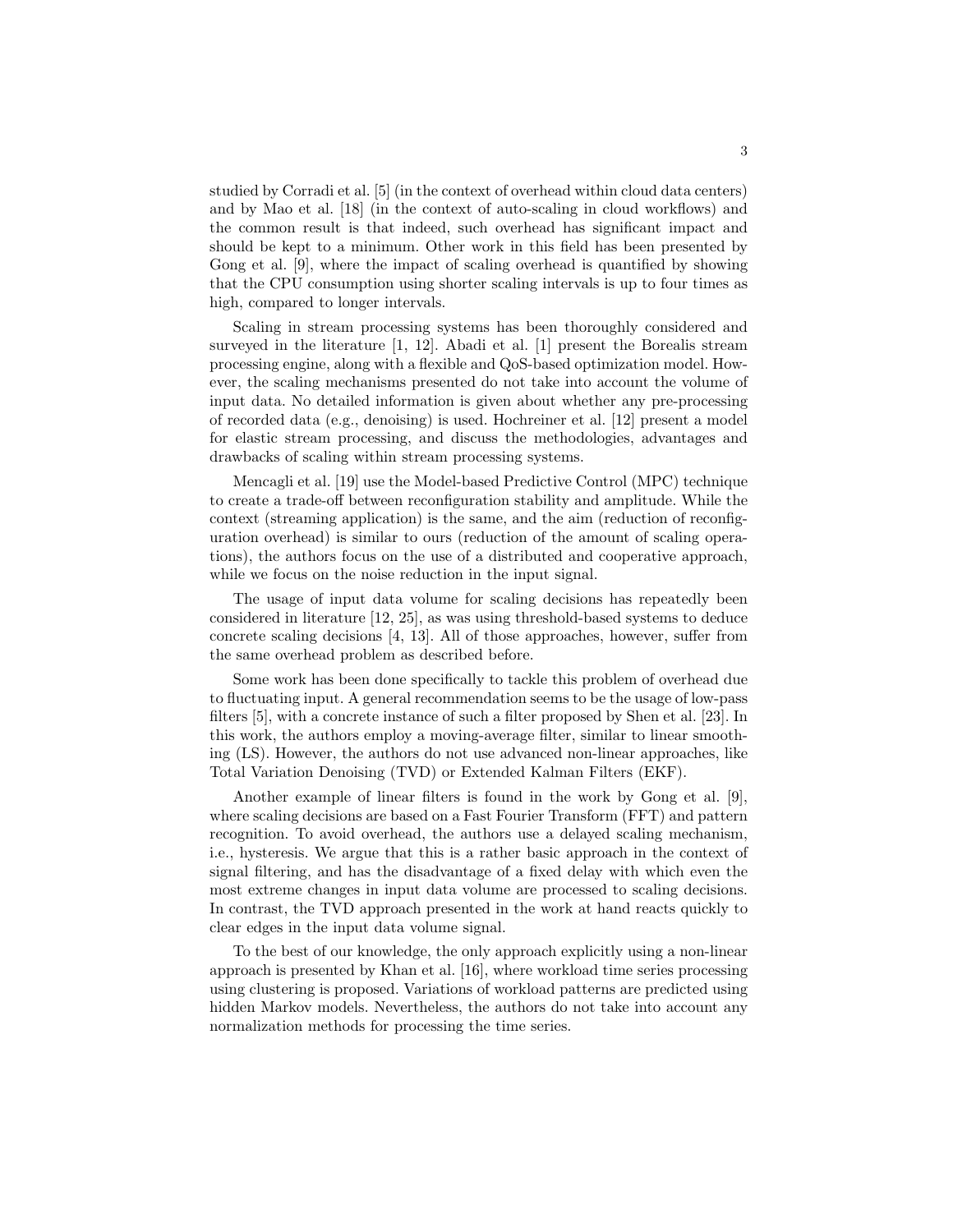studied by Corradi et al. [5] (in the context of overhead within cloud data centers) and by Mao et al. [18] (in the context of auto-scaling in cloud workflows) and the common result is that indeed, such overhead has significant impact and should be kept to a minimum. Other work in this field has been presented by Gong et al. [9], where the impact of scaling overhead is quantified by showing that the CPU consumption using shorter scaling intervals is up to four times as high, compared to longer intervals.

Scaling in stream processing systems has been thoroughly considered and surveyed in the literature [1, 12]. Abadi et al. [1] present the Borealis stream processing engine, along with a flexible and QoS-based optimization model. However, the scaling mechanisms presented do not take into account the volume of input data. No detailed information is given about whether any pre-processing of recorded data (e.g., denoising) is used. Hochreiner et al. [12] present a model for elastic stream processing, and discuss the methodologies, advantages and drawbacks of scaling within stream processing systems.

Mencagli et al. [19] use the Model-based Predictive Control (MPC) technique to create a trade-off between reconfiguration stability and amplitude. While the context (streaming application) is the same, and the aim (reduction of reconfiguration overhead) is similar to ours (reduction of the amount of scaling operations), the authors focus on the use of a distributed and cooperative approach, while we focus on the noise reduction in the input signal.

The usage of input data volume for scaling decisions has repeatedly been considered in literature [12, 25], as was using threshold-based systems to deduce concrete scaling decisions [4, 13]. All of those approaches, however, suffer from the same overhead problem as described before.

Some work has been done specifically to tackle this problem of overhead due to fluctuating input. A general recommendation seems to be the usage of low-pass filters [5], with a concrete instance of such a filter proposed by Shen et al. [23]. In this work, the authors employ a moving-average filter, similar to linear smoothing (LS). However, the authors do not use advanced non-linear approaches, like Total Variation Denoising (TVD) or Extended Kalman Filters (EKF).

Another example of linear filters is found in the work by Gong et al. [9], where scaling decisions are based on a Fast Fourier Transform (FFT) and pattern recognition. To avoid overhead, the authors use a delayed scaling mechanism, i.e., hysteresis. We argue that this is a rather basic approach in the context of signal filtering, and has the disadvantage of a fixed delay with which even the most extreme changes in input data volume are processed to scaling decisions. In contrast, the TVD approach presented in the work at hand reacts quickly to clear edges in the input data volume signal.

To the best of our knowledge, the only approach explicitly using a non-linear approach is presented by Khan et al. [16], where workload time series processing using clustering is proposed. Variations of workload patterns are predicted using hidden Markov models. Nevertheless, the authors do not take into account any normalization methods for processing the time series.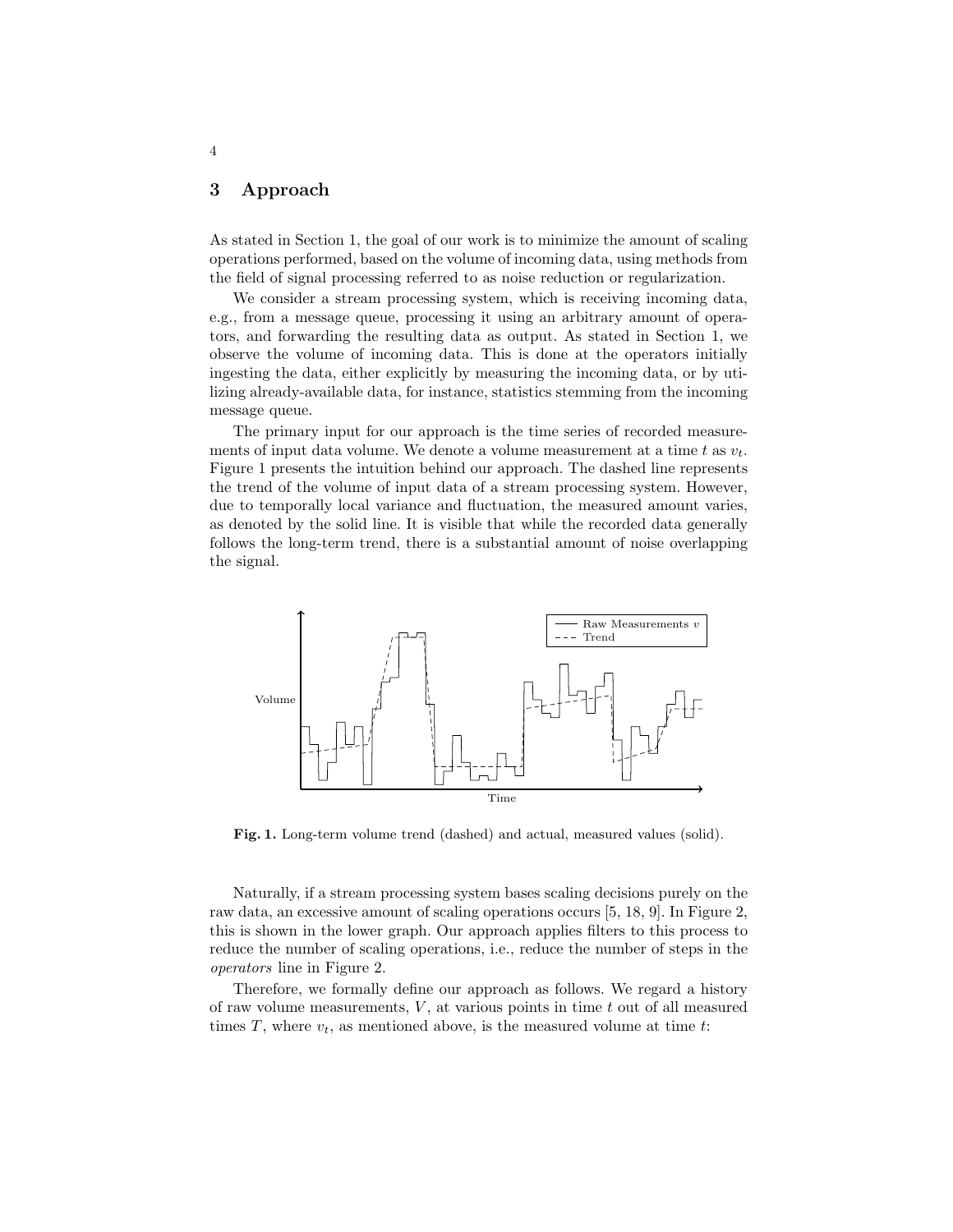### 3 Approach

4

As stated in Section 1, the goal of our work is to minimize the amount of scaling operations performed, based on the volume of incoming data, using methods from the field of signal processing referred to as noise reduction or regularization.

We consider a stream processing system, which is receiving incoming data, e.g., from a message queue, processing it using an arbitrary amount of operators, and forwarding the resulting data as output. As stated in Section 1, we observe the volume of incoming data. This is done at the operators initially ingesting the data, either explicitly by measuring the incoming data, or by utilizing already-available data, for instance, statistics stemming from the incoming message queue.

The primary input for our approach is the time series of recorded measurements of input data volume. We denote a volume measurement at a time t as  $v_t$ . Figure 1 presents the intuition behind our approach. The dashed line represents the trend of the volume of input data of a stream processing system. However, due to temporally local variance and fluctuation, the measured amount varies, as denoted by the solid line. It is visible that while the recorded data generally follows the long-term trend, there is a substantial amount of noise overlapping the signal.



Fig. 1. Long-term volume trend (dashed) and actual, measured values (solid).

Naturally, if a stream processing system bases scaling decisions purely on the raw data, an excessive amount of scaling operations occurs [5, 18, 9]. In Figure 2, this is shown in the lower graph. Our approach applies filters to this process to reduce the number of scaling operations, i.e., reduce the number of steps in the operators line in Figure 2.

Therefore, we formally define our approach as follows. We regard a history of raw volume measurements,  $V$ , at various points in time  $t$  out of all measured times T, where  $v_t$ , as mentioned above, is the measured volume at time t: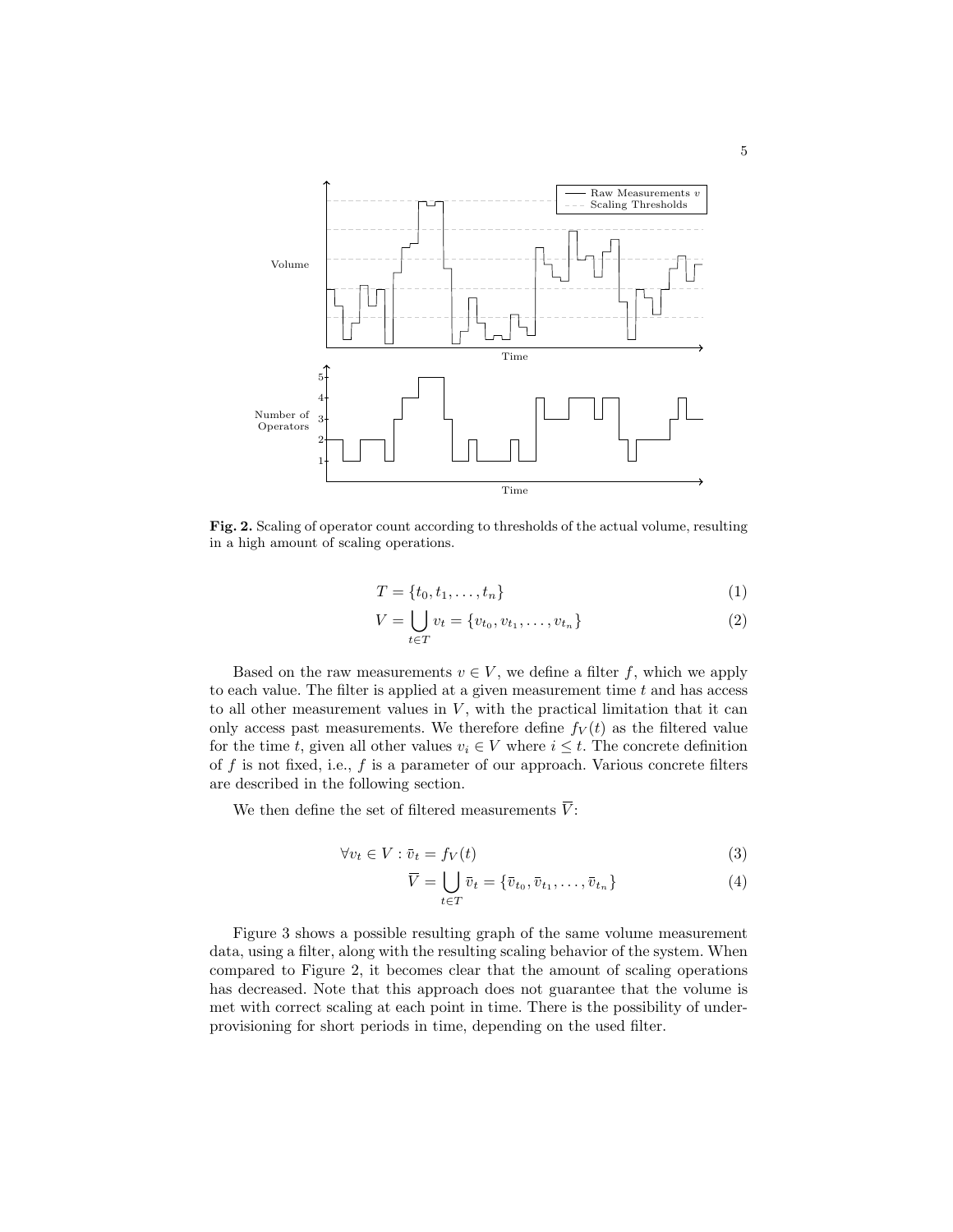

Fig. 2. Scaling of operator count according to thresholds of the actual volume, resulting in a high amount of scaling operations.

$$
T = \{t_0, t_1, \dots, t_n\} \tag{1}
$$

$$
V = \bigcup_{t \in T} v_t = \{v_{t_0}, v_{t_1}, \dots, v_{t_n}\}\tag{2}
$$

Based on the raw measurements  $v \in V$ , we define a filter f, which we apply to each value. The filter is applied at a given measurement time  $t$  and has access to all other measurement values in  $V$ , with the practical limitation that it can only access past measurements. We therefore define  $f_V(t)$  as the filtered value for the time t, given all other values  $v_i \in V$  where  $i \leq t$ . The concrete definition of f is not fixed, i.e., f is a parameter of our approach. Various concrete filters are described in the following section.

We then define the set of filtered measurements  $\overline{V}$ :

$$
\forall v_t \in V : \bar{v}_t = f_V(t) \tag{3}
$$

$$
\overline{V} = \bigcup_{t \in T} \overline{v}_t = \{\overline{v}_{t_0}, \overline{v}_{t_1}, \dots, \overline{v}_{t_n}\}\tag{4}
$$

Figure 3 shows a possible resulting graph of the same volume measurement data, using a filter, along with the resulting scaling behavior of the system. When compared to Figure 2, it becomes clear that the amount of scaling operations has decreased. Note that this approach does not guarantee that the volume is met with correct scaling at each point in time. There is the possibility of underprovisioning for short periods in time, depending on the used filter.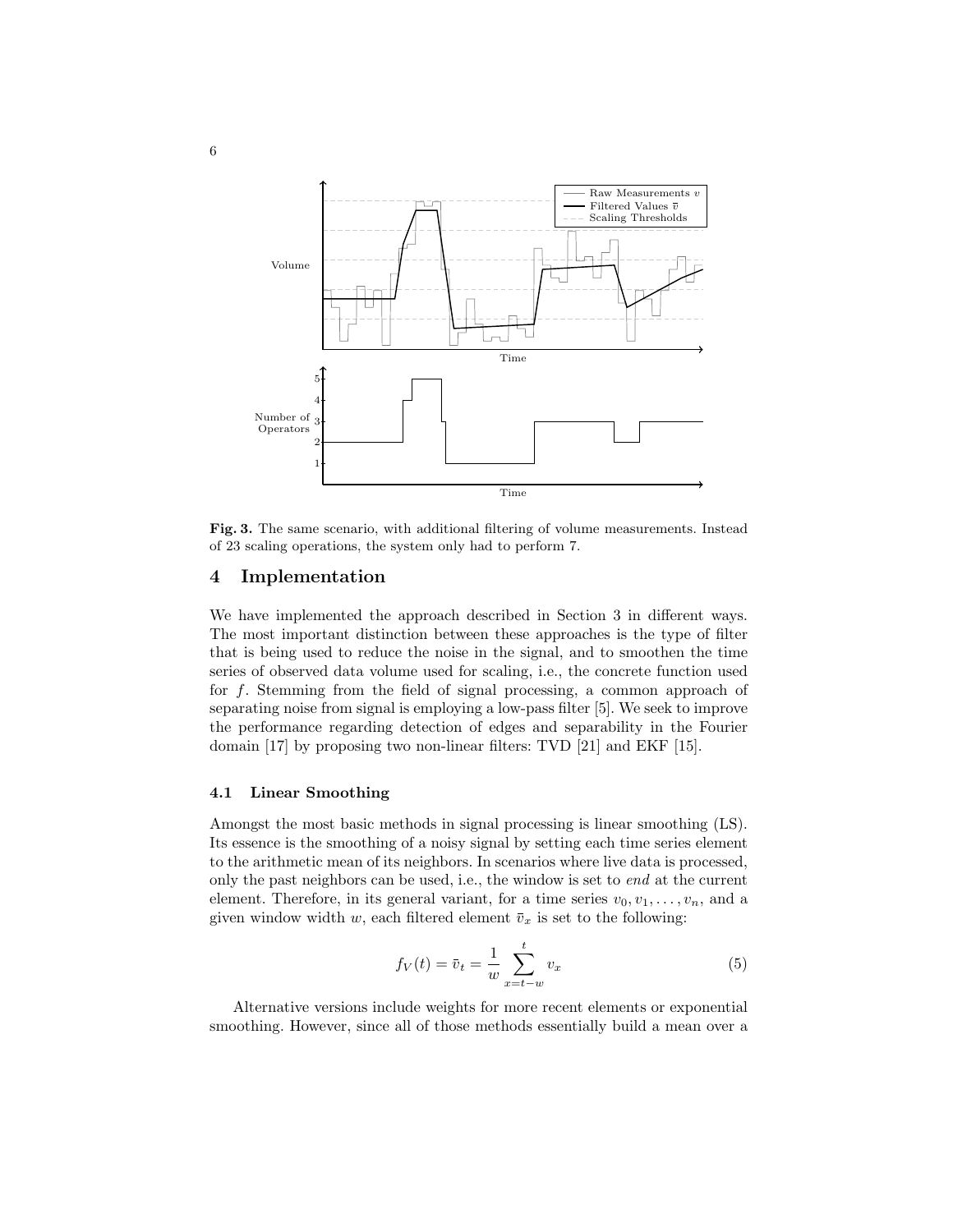

Fig. 3. The same scenario, with additional filtering of volume measurements. Instead of 23 scaling operations, the system only had to perform 7.

#### 4 Implementation

We have implemented the approach described in Section 3 in different ways. The most important distinction between these approaches is the type of filter that is being used to reduce the noise in the signal, and to smoothen the time series of observed data volume used for scaling, i.e., the concrete function used for f. Stemming from the field of signal processing, a common approach of separating noise from signal is employing a low-pass filter [5]. We seek to improve the performance regarding detection of edges and separability in the Fourier domain [17] by proposing two non-linear filters: TVD [21] and EKF [15].

#### 4.1 Linear Smoothing

Amongst the most basic methods in signal processing is linear smoothing (LS). Its essence is the smoothing of a noisy signal by setting each time series element to the arithmetic mean of its neighbors. In scenarios where live data is processed, only the past neighbors can be used, i.e., the window is set to end at the current element. Therefore, in its general variant, for a time series  $v_0, v_1, \ldots, v_n$ , and a given window width w, each filtered element  $\bar{v}_x$  is set to the following:

$$
f_V(t) = \bar{v}_t = \frac{1}{w} \sum_{x=t-w}^{t} v_x
$$
 (5)

Alternative versions include weights for more recent elements or exponential smoothing. However, since all of those methods essentially build a mean over a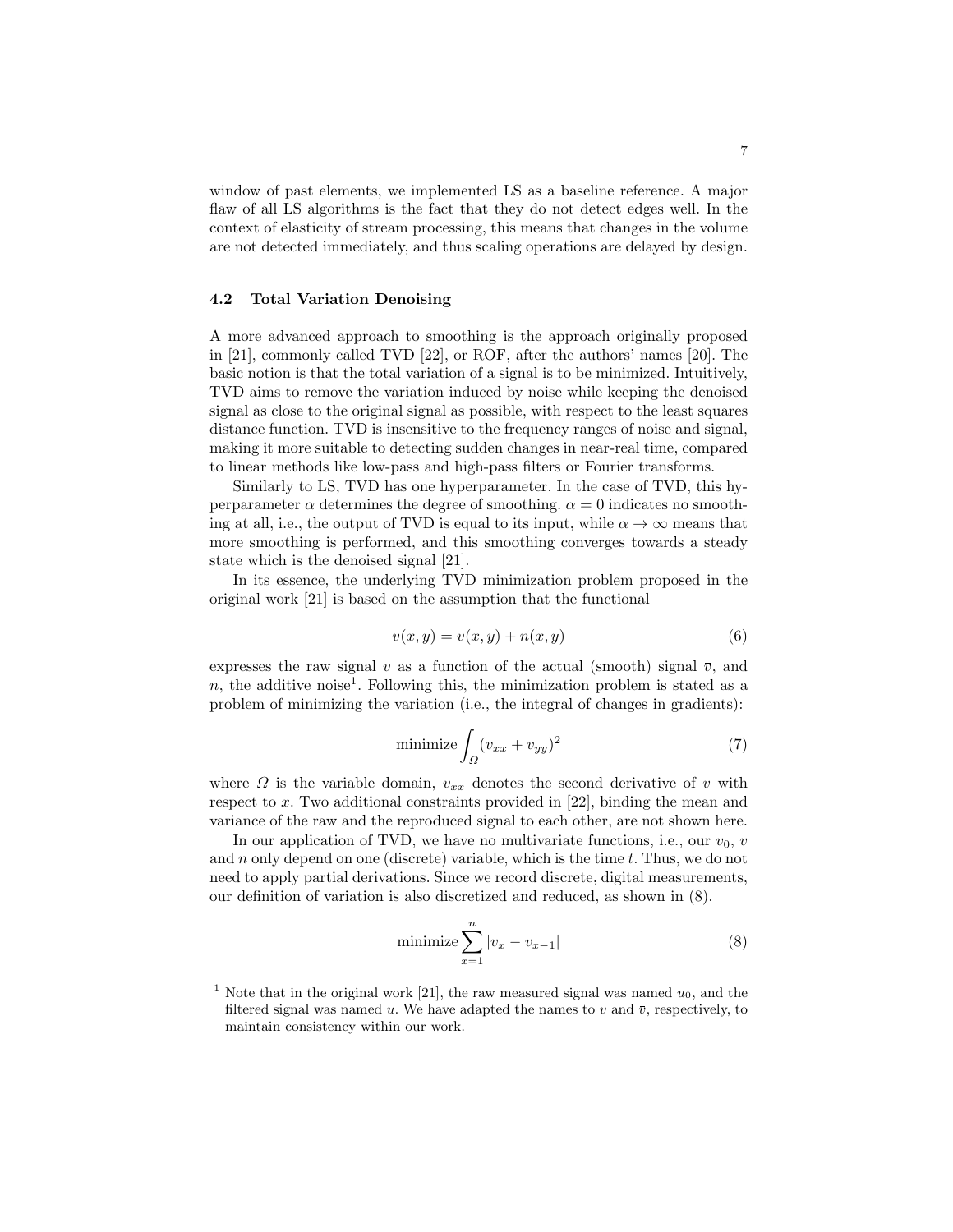window of past elements, we implemented LS as a baseline reference. A major flaw of all LS algorithms is the fact that they do not detect edges well. In the context of elasticity of stream processing, this means that changes in the volume are not detected immediately, and thus scaling operations are delayed by design.

#### 4.2 Total Variation Denoising

A more advanced approach to smoothing is the approach originally proposed in [21], commonly called TVD [22], or ROF, after the authors' names [20]. The basic notion is that the total variation of a signal is to be minimized. Intuitively, TVD aims to remove the variation induced by noise while keeping the denoised signal as close to the original signal as possible, with respect to the least squares distance function. TVD is insensitive to the frequency ranges of noise and signal, making it more suitable to detecting sudden changes in near-real time, compared to linear methods like low-pass and high-pass filters or Fourier transforms.

Similarly to LS, TVD has one hyperparameter. In the case of TVD, this hyperparameter  $\alpha$  determines the degree of smoothing.  $\alpha = 0$  indicates no smoothing at all, i.e., the output of TVD is equal to its input, while  $\alpha \to \infty$  means that more smoothing is performed, and this smoothing converges towards a steady state which is the denoised signal [21].

In its essence, the underlying TVD minimization problem proposed in the original work [21] is based on the assumption that the functional

$$
v(x,y) = \bar{v}(x,y) + n(x,y)
$$
\n<sup>(6)</sup>

expresses the raw signal v as a function of the actual (smooth) signal  $\bar{v}$ , and  $n$ , the additive noise<sup>1</sup>. Following this, the minimization problem is stated as a problem of minimizing the variation (i.e., the integral of changes in gradients):

$$
\text{minimize} \int_{\Omega} (v_{xx} + v_{yy})^2 \tag{7}
$$

where  $\Omega$  is the variable domain,  $v_{xx}$  denotes the second derivative of v with respect to  $x$ . Two additional constraints provided in [22], binding the mean and variance of the raw and the reproduced signal to each other, are not shown here.

In our application of TVD, we have no multivariate functions, i.e., our  $v_0, v$ and  $n$  only depend on one (discrete) variable, which is the time  $t$ . Thus, we do not need to apply partial derivations. Since we record discrete, digital measurements, our definition of variation is also discretized and reduced, as shown in (8).

$$
\text{minimize} \sum_{x=1}^{n} |v_x - v_{x-1}| \tag{8}
$$

Note that in the original work [21], the raw measured signal was named  $u_0$ , and the filtered signal was named u. We have adapted the names to v and  $\bar{v}$ , respectively, to maintain consistency within our work.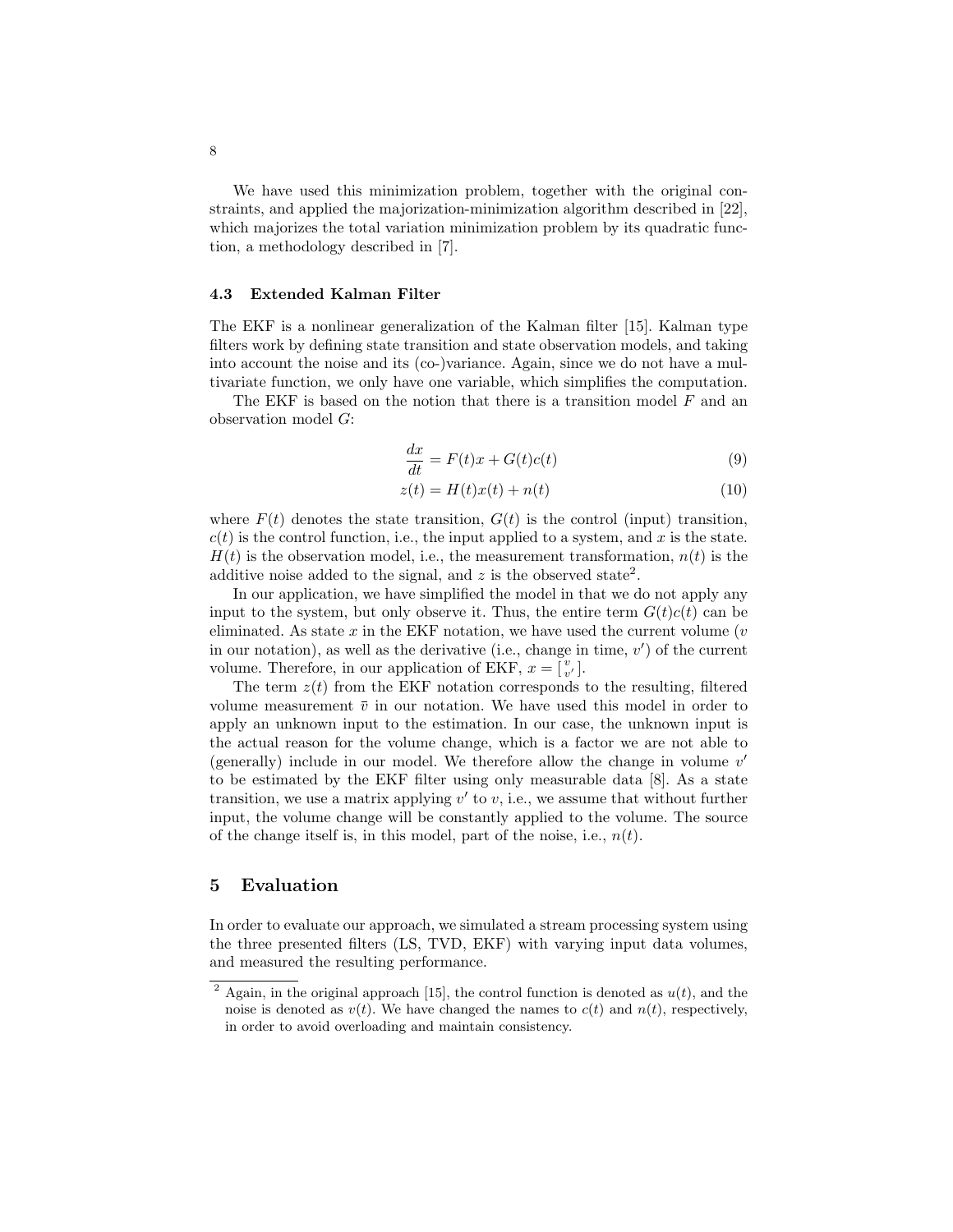We have used this minimization problem, together with the original constraints, and applied the majorization-minimization algorithm described in [22], which majorizes the total variation minimization problem by its quadratic function, a methodology described in [7].

#### 4.3 Extended Kalman Filter

The EKF is a nonlinear generalization of the Kalman filter [15]. Kalman type filters work by defining state transition and state observation models, and taking into account the noise and its (co-)variance. Again, since we do not have a multivariate function, we only have one variable, which simplifies the computation.

The EKF is based on the notion that there is a transition model  $F$  and an observation model G:

$$
\frac{dx}{dt} = F(t)x + G(t)c(t)
$$
\n(9)

$$
z(t) = H(t)x(t) + n(t)
$$
\n<sup>(10)</sup>

where  $F(t)$  denotes the state transition,  $G(t)$  is the control (input) transition,  $c(t)$  is the control function, i.e., the input applied to a system, and x is the state.  $H(t)$  is the observation model, i.e., the measurement transformation,  $n(t)$  is the additive noise added to the signal, and  $z$  is the observed state<sup>2</sup>.

In our application, we have simplified the model in that we do not apply any input to the system, but only observe it. Thus, the entire term  $G(t)c(t)$  can be eliminated. As state  $x$  in the EKF notation, we have used the current volume ( $v$ ) in our notation), as well as the derivative (i.e., change in time,  $v'$ ) of the current volume. Therefore, in our application of EKF,  $x = \begin{bmatrix} v \\ v \end{bmatrix}$ .

The term  $z(t)$  from the EKF notation corresponds to the resulting, filtered volume measurement  $\bar{v}$  in our notation. We have used this model in order to apply an unknown input to the estimation. In our case, the unknown input is the actual reason for the volume change, which is a factor we are not able to (generally) include in our model. We therefore allow the change in volume  $v'$ to be estimated by the EKF filter using only measurable data [8]. As a state transition, we use a matrix applying  $v'$  to  $v$ , i.e., we assume that without further input, the volume change will be constantly applied to the volume. The source of the change itself is, in this model, part of the noise, i.e.,  $n(t)$ .

#### 5 Evaluation

In order to evaluate our approach, we simulated a stream processing system using the three presented filters (LS, TVD, EKF) with varying input data volumes, and measured the resulting performance.

<sup>&</sup>lt;sup>2</sup> Again, in the original approach [15], the control function is denoted as  $u(t)$ , and the noise is denoted as  $v(t)$ . We have changed the names to  $c(t)$  and  $n(t)$ , respectively, in order to avoid overloading and maintain consistency.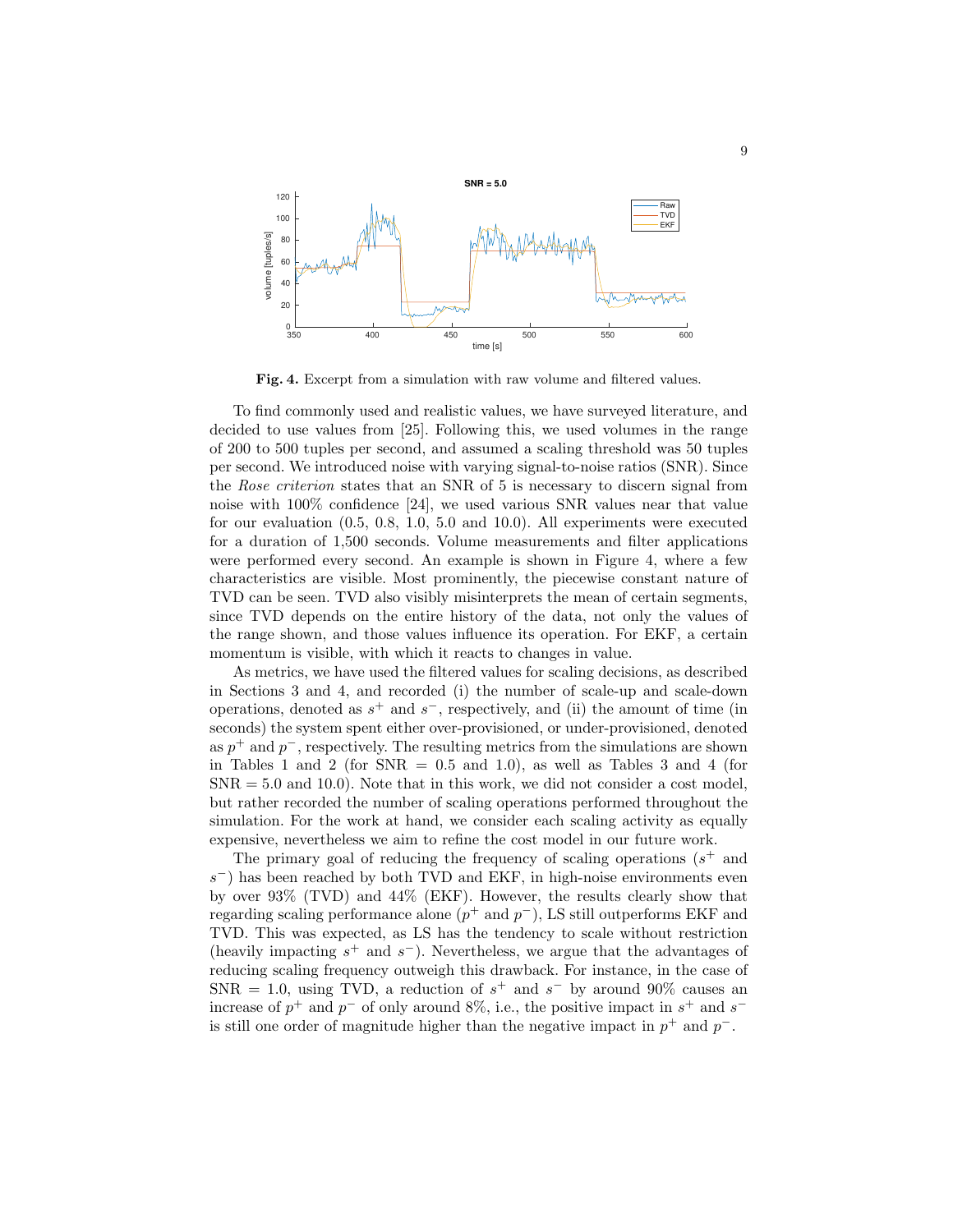

Fig. 4. Excerpt from a simulation with raw volume and filtered values.

To find commonly used and realistic values, we have surveyed literature, and decided to use values from [25]. Following this, we used volumes in the range of 200 to 500 tuples per second, and assumed a scaling threshold was 50 tuples per second. We introduced noise with varying signal-to-noise ratios (SNR). Since the Rose criterion states that an SNR of 5 is necessary to discern signal from noise with 100% confidence [24], we used various SNR values near that value for our evaluation (0.5, 0.8, 1.0, 5.0 and 10.0). All experiments were executed for a duration of 1,500 seconds. Volume measurements and filter applications were performed every second. An example is shown in Figure 4, where a few characteristics are visible. Most prominently, the piecewise constant nature of TVD can be seen. TVD also visibly misinterprets the mean of certain segments, since TVD depends on the entire history of the data, not only the values of the range shown, and those values influence its operation. For EKF, a certain momentum is visible, with which it reacts to changes in value.

As metrics, we have used the filtered values for scaling decisions, as described in Sections 3 and 4, and recorded (i) the number of scale-up and scale-down operations, denoted as  $s^+$  and  $s^-$ , respectively, and (ii) the amount of time (in seconds) the system spent either over-provisioned, or under-provisioned, denoted as  $p^+$  and  $p^-$ , respectively. The resulting metrics from the simulations are shown in Tables 1 and 2 (for  $SNR = 0.5$  and 1.0), as well as Tables 3 and 4 (for  $SNR = 5.0$  and 10.0). Note that in this work, we did not consider a cost model, but rather recorded the number of scaling operations performed throughout the simulation. For the work at hand, we consider each scaling activity as equally expensive, nevertheless we aim to refine the cost model in our future work.

The primary goal of reducing the frequency of scaling operations  $(s^+$  and  $s^-$ ) has been reached by both TVD and EKF, in high-noise environments even by over 93% (TVD) and 44% (EKF). However, the results clearly show that regarding scaling performance alone  $(p^+$  and  $p^-)$ , LS still outperforms EKF and TVD. This was expected, as LS has the tendency to scale without restriction (heavily impacting  $s^+$  and  $s^-$ ). Nevertheless, we argue that the advantages of reducing scaling frequency outweigh this drawback. For instance, in the case of SNR = 1.0, using TVD, a reduction of  $s^+$  and  $s^-$  by around 90% causes an increase of  $p^+$  and  $p^-$  of only around 8%, i.e., the positive impact in  $s^+$  and  $s^$ is still one order of magnitude higher than the negative impact in  $p^+$  and  $p^-$ .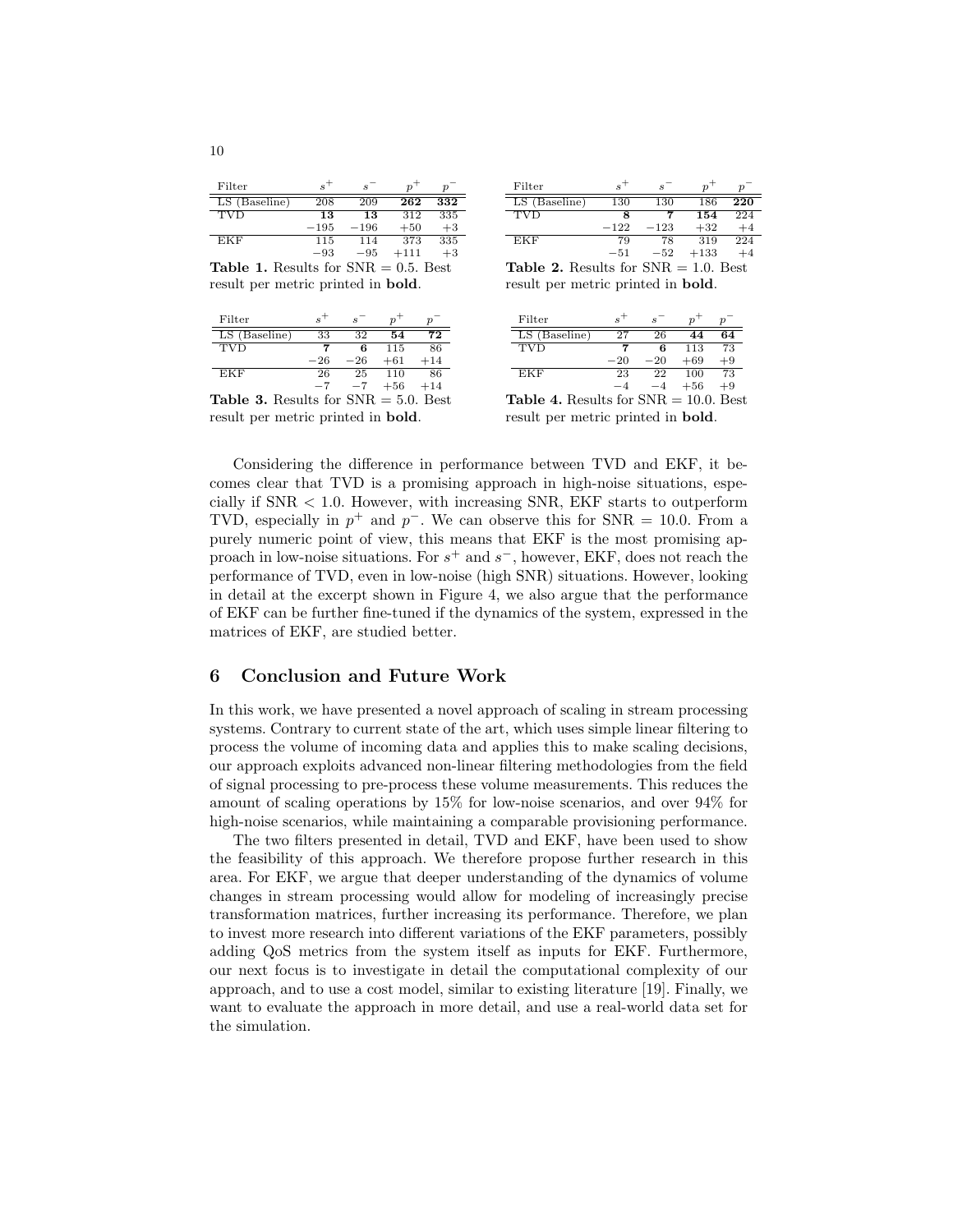| Filter          | $s^+$  | $\overline{s}$ | $p^+$ | р    |
|-----------------|--------|----------------|-------|------|
| $LS$ (Baseline) | 208    | 209            | 262   | 332  |
| TVD             | 13     | 13             | 312   | 335  |
|                 | $-195$ | $-196$         | $+50$ | $+3$ |
| <b>EKF</b>      | 115    | 114            | 373   | 335  |
|                 | $-93$  | $-95$          |       | $+3$ |

Table 1. Results for  $SNR = 0.5$ . Best result per metric printed in bold.

| Filter          | $s^{\top}$ | s     | $\boldsymbol{n}$ |       |
|-----------------|------------|-------|------------------|-------|
| $LS$ (Baseline) | 33         | 32    | 54               | 72    |
| <b>TVD</b>      |            | В     | 115              | 86    |
|                 | $-26$      | $-26$ | $+61$            | $+14$ |
| EKF             | 26         | 25    | 110              | 86    |
|                 | -7         | -7    | $+56$            | $+14$ |

Table 3. Results for  $SNR = 5.0$ . Best result per metric printed in bold.

| Filter          | $s^+$  | s      | $\boldsymbol{p}^{\gamma}$ |         |
|-----------------|--------|--------|---------------------------|---------|
| $LS$ (Baseline) | 130    | 130    | 186                       | 220     |
| <b>TVD</b>      | 8      |        | 154                       | 224     |
|                 | $-122$ | $-123$ | $+32$                     | $^{+4}$ |
| EKF             | 79     | 78     | 319                       | 224     |
|                 | $-51$  | -52    | $+133$                    |         |

Table 2. Results for  $SNR = 1.0$ . Best result per metric printed in bold.

| Filter          | $s^{\top}$ | s     |       |      |
|-----------------|------------|-------|-------|------|
| $LS$ (Baseline) | 27         | 26    | 44    | 64   |
| <b>TVD</b>      |            | В     | 113   | 73   |
|                 | $-20$      | $-20$ | $+69$ | $+9$ |
| <b>EKF</b>      | 23         | 22    | 100   | 73   |
|                 |            |       | $+56$ | $+9$ |

Table 4. Results for  $SNR = 10.0$ . Best result per metric printed in bold.

Considering the difference in performance between TVD and EKF, it becomes clear that TVD is a promising approach in high-noise situations, especially if SNR < 1.0. However, with increasing SNR, EKF starts to outperform TVD, especially in  $p^+$  and  $p^-$ . We can observe this for SNR = 10.0. From a purely numeric point of view, this means that EKF is the most promising approach in low-noise situations. For  $s^+$  and  $s^-$ , however, EKF, does not reach the performance of TVD, even in low-noise (high SNR) situations. However, looking in detail at the excerpt shown in Figure 4, we also argue that the performance of EKF can be further fine-tuned if the dynamics of the system, expressed in the matrices of EKF, are studied better.

## 6 Conclusion and Future Work

In this work, we have presented a novel approach of scaling in stream processing systems. Contrary to current state of the art, which uses simple linear filtering to process the volume of incoming data and applies this to make scaling decisions, our approach exploits advanced non-linear filtering methodologies from the field of signal processing to pre-process these volume measurements. This reduces the amount of scaling operations by 15% for low-noise scenarios, and over 94% for high-noise scenarios, while maintaining a comparable provisioning performance.

The two filters presented in detail, TVD and EKF, have been used to show the feasibility of this approach. We therefore propose further research in this area. For EKF, we argue that deeper understanding of the dynamics of volume changes in stream processing would allow for modeling of increasingly precise transformation matrices, further increasing its performance. Therefore, we plan to invest more research into different variations of the EKF parameters, possibly adding QoS metrics from the system itself as inputs for EKF. Furthermore, our next focus is to investigate in detail the computational complexity of our approach, and to use a cost model, similar to existing literature [19]. Finally, we want to evaluate the approach in more detail, and use a real-world data set for the simulation.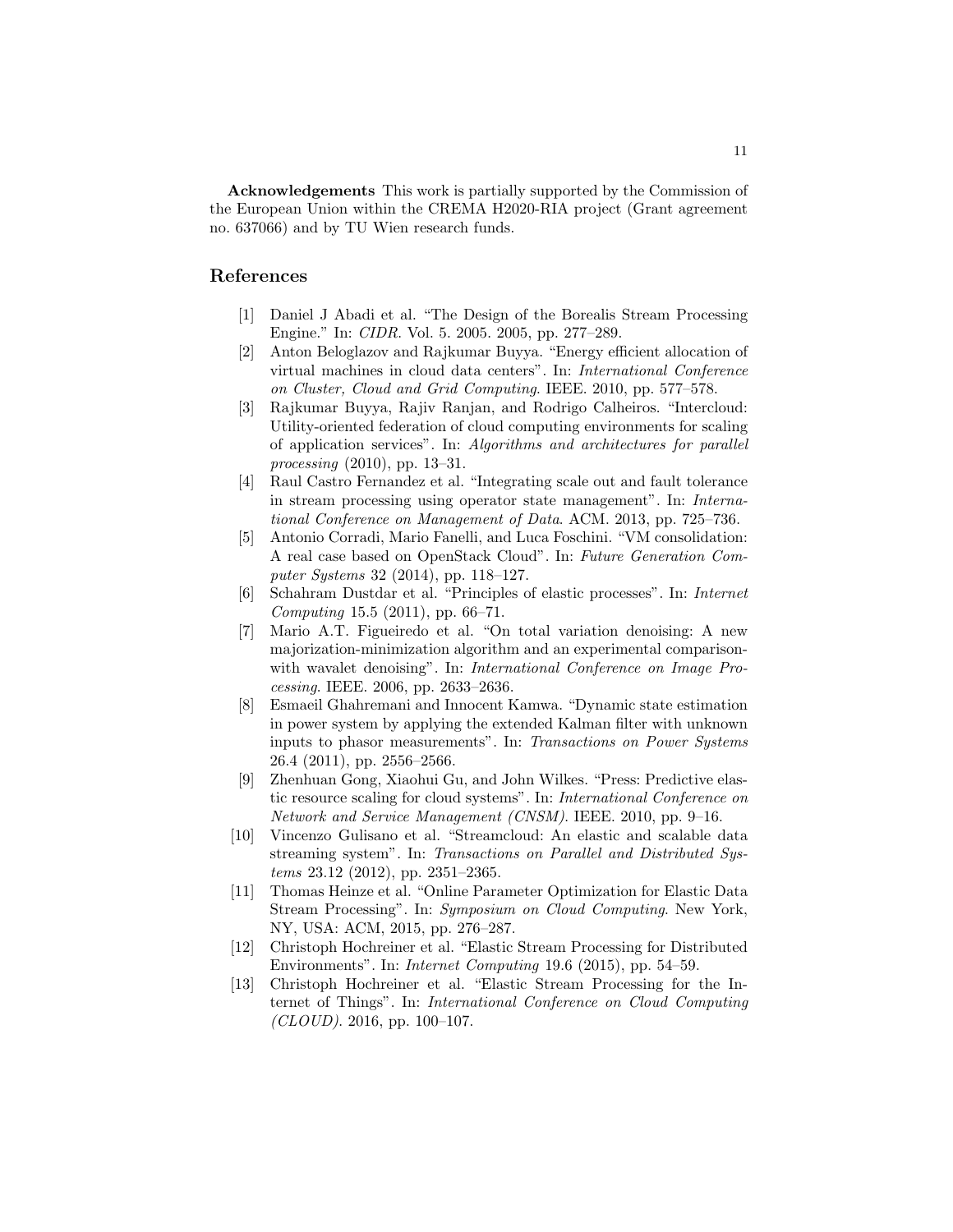Acknowledgements This work is partially supported by the Commission of the European Union within the CREMA H2020-RIA project (Grant agreement no. 637066) and by TU Wien research funds.

## References

- [1] Daniel J Abadi et al. "The Design of the Borealis Stream Processing Engine." In: CIDR. Vol. 5. 2005. 2005, pp. 277–289.
- [2] Anton Beloglazov and Rajkumar Buyya. "Energy efficient allocation of virtual machines in cloud data centers". In: International Conference on Cluster, Cloud and Grid Computing. IEEE. 2010, pp. 577–578.
- [3] Rajkumar Buyya, Rajiv Ranjan, and Rodrigo Calheiros. "Intercloud: Utility-oriented federation of cloud computing environments for scaling of application services". In: Algorithms and architectures for parallel processing (2010), pp. 13–31.
- [4] Raul Castro Fernandez et al. "Integrating scale out and fault tolerance in stream processing using operator state management". In: International Conference on Management of Data. ACM. 2013, pp. 725–736.
- [5] Antonio Corradi, Mario Fanelli, and Luca Foschini. "VM consolidation: A real case based on OpenStack Cloud". In: Future Generation Computer Systems 32 (2014), pp. 118–127.
- [6] Schahram Dustdar et al. "Principles of elastic processes". In: Internet Computing 15.5 (2011), pp. 66–71.
- [7] Mario A.T. Figueiredo et al. "On total variation denoising: A new majorization-minimization algorithm and an experimental comparisonwith wavalet denoising". In: *International Conference on Image Pro*cessing. IEEE. 2006, pp. 2633–2636.
- [8] Esmaeil Ghahremani and Innocent Kamwa. "Dynamic state estimation in power system by applying the extended Kalman filter with unknown inputs to phasor measurements". In: Transactions on Power Systems 26.4 (2011), pp. 2556–2566.
- [9] Zhenhuan Gong, Xiaohui Gu, and John Wilkes. "Press: Predictive elastic resource scaling for cloud systems". In: International Conference on Network and Service Management (CNSM). IEEE. 2010, pp. 9–16.
- [10] Vincenzo Gulisano et al. "Streamcloud: An elastic and scalable data streaming system". In: Transactions on Parallel and Distributed Systems 23.12 (2012), pp. 2351–2365.
- [11] Thomas Heinze et al. "Online Parameter Optimization for Elastic Data Stream Processing". In: Symposium on Cloud Computing. New York, NY, USA: ACM, 2015, pp. 276–287.
- [12] Christoph Hochreiner et al. "Elastic Stream Processing for Distributed Environments". In: Internet Computing 19.6 (2015), pp. 54–59.
- [13] Christoph Hochreiner et al. "Elastic Stream Processing for the Internet of Things". In: International Conference on Cloud Computing  $(CLOUD)$ . 2016, pp. 100–107.